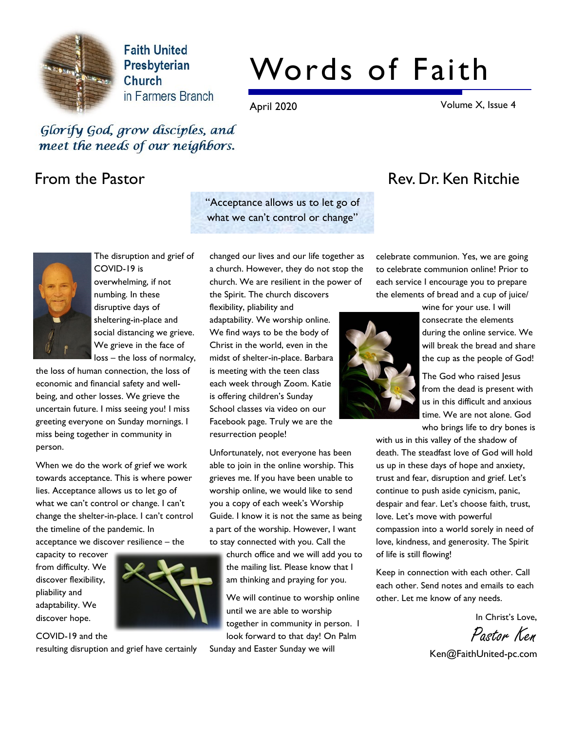

**Faith United** Presbyterian Church in Farmers Branch

# Words of Faith

April 2020 Volume X, Issue 4

Glorify God, grow disciples, and meet the needs of our neighbors.

"Acceptance allows us to let go of what we can't control or change"

The disruption and grief of COVID-19 is overwhelming, if not numbing. In these disruptive days of sheltering-in-place and social distancing we grieve. We grieve in the face of loss – the loss of normalcy,

the loss of human connection, the loss of economic and financial safety and wellbeing, and other losses. We grieve the uncertain future. I miss seeing you! I miss greeting everyone on Sunday mornings. I miss being together in community in person.

When we do the work of grief we work towards acceptance. This is where power lies. Acceptance allows us to let go of what we can't control or change. I can't change the shelter-in-place. I can't control the timeline of the pandemic. In acceptance we discover resilience – the

capacity to recover from difficulty. We discover flexibility, pliability and adaptability. We discover hope.

COVID-19 and the



resulting disruption and grief have certainly

changed our lives and our life together as a church. However, they do not stop the church. We are resilient in the power of the Spirit. The church discovers

flexibility, pliability and adaptability. We worship online. We find ways to be the body of Christ in the world, even in the midst of shelter-in-place. Barbara is meeting with the teen class each week through Zoom. Katie is offering children's Sunday School classes via video on our Facebook page. Truly we are the resurrection people!

Unfortunately, not everyone has been able to join in the online worship. This grieves me. If you have been unable to worship online, we would like to send you a copy of each week's Worship Guide. I know it is not the same as being a part of the worship. However, I want to stay connected with you. Call the

> church office and we will add you to the mailing list. Please know that I am thinking and praying for you.

We will continue to worship online until we are able to worship together in community in person. I look forward to that day! On Palm

Sunday and Easter Sunday we will

# From the Pastor **Rev. Dr. Ken Ritchie**

celebrate communion. Yes, we are going to celebrate communion online! Prior to each service I encourage you to prepare the elements of bread and a cup of juice/



wine for your use. I will consecrate the elements during the online service. We will break the bread and share the cup as the people of God!

The God who raised Jesus from the dead is present with us in this difficult and anxious time. We are not alone. God who brings life to dry bones is

with us in this valley of the shadow of death. The steadfast love of God will hold us up in these days of hope and anxiety, trust and fear, disruption and grief. Let's continue to push aside cynicism, panic, despair and fear. Let's choose faith, trust, love. Let's move with powerful compassion into a world sorely in need of love, kindness, and generosity. The Spirit of life is still flowing!

Keep in connection with each other. Call each other. Send notes and emails to each other. Let me know of any needs.

In Christ's Love,

Pastor Ken

Ken@FaithUnited-pc.com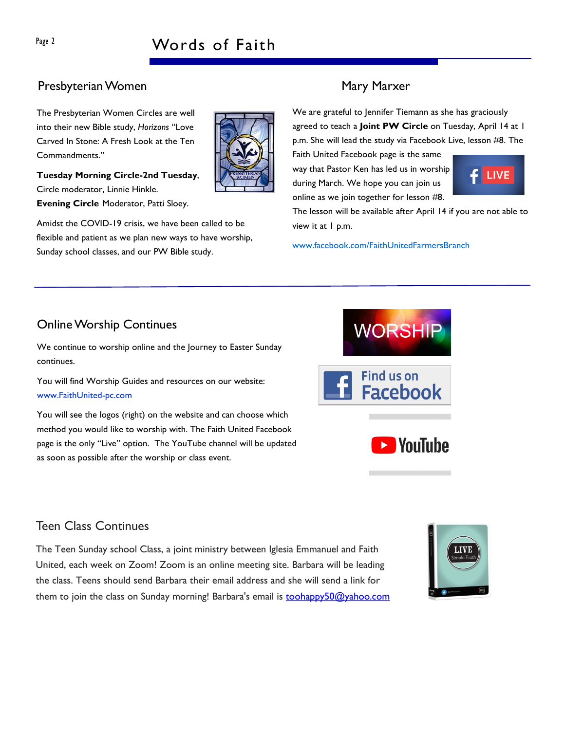# Presbyterian Women Mary Marxer

The Presbyterian Women Circles are well into their new Bible study, Horizons "Love Carved In Stone: A Fresh Look at the Ten Commandments."



Amidst the COVID-19 crisis, we have been called to be flexible and patient as we plan new ways to have worship, Sunday school classes, and our PW Bible study.

We are grateful to Jennifer Tiemann as she has graciously agreed to teach a Joint PW Circle on Tuesday, April 14 at 1 p.m. She will lead the study via Facebook Live, lesson #8. The

Faith United Facebook page is the same way that Pastor Ken has led us in worship during March. We hope you can join us online as we join together for lesson #8.



The lesson will be available after April 14 if you are not able to view it at 1 p.m.

**WORSHIP** 

**Facebook** 

**N**YouTube

**Find us on** 

www.facebook.com/FaithUnitedFarmersBranch

# Online Worship Continues

We continue to worship online and the Journey to Easter Sunday continues.

You will find Worship Guides and resources on our website: www.FaithUnited-pc.com

You will see the logos (right) on the website and can choose which method you would like to worship with. The Faith United Facebook page is the only "Live" option. The YouTube channel will be updated as soon as possible after the worship or class event.

## Teen Class Continues

The Teen Sunday school Class, a joint ministry between Iglesia Emmanuel and Faith United, each week on Zoom! Zoom is an online meeting site. Barbara will be leading the class. Teens should send Barbara their email address and she will send a link for them to join the class on Sunday morning! Barbara's email is toohappy50@yahoo.com

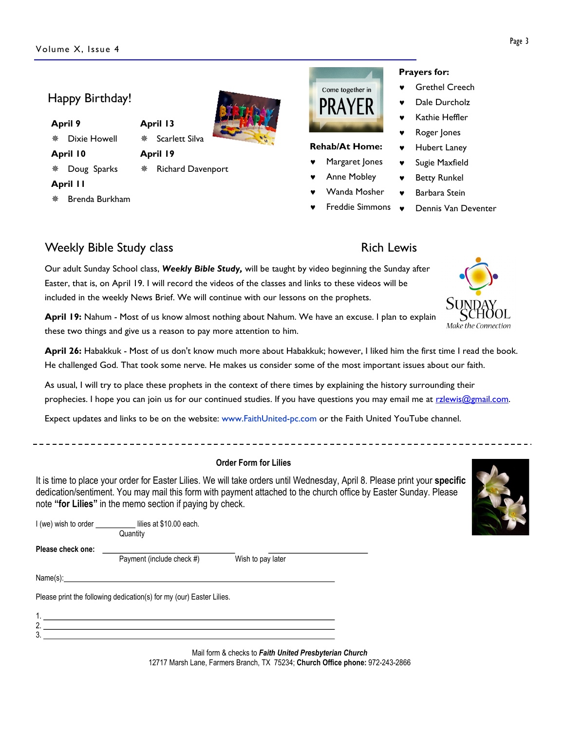## Happy Birthday!

- April 9
- \* Dixie Howell

### April 10

2. 3.

#### \* Doug Sparks

April 19

April 13

# April 11

Brenda Burkham



# Scarlett Silva

 $*$  Richard Davenport

#### Prayers for: © Grethel Creech Come together in

Rehab/At Home: Margaret Jones Anne Mobley Wanda Mosher

PRAYF

- Dale Durcholz
- Kathie Heffler
- Roger Jones
- Hubert Laney
- Sugie Maxfield
- **Betty Runkel**
- Barbara Stein
- © Dennis Van Deventer © Freddie Simmons

# Weekly Bible Study class **Rich Lewis** Rich Lewis

Our adult Sunday School class, Weekly Bible Study, will be taught by video beginning the Sunday after Easter, that is, on April 19. I will record the videos of the classes and links to these videos will be included in the weekly News Brief. We will continue with our lessons on the prophets.

April 19: Nahum - Most of us know almost nothing about Nahum. We have an excuse. I plan to explain these two things and give us a reason to pay more attention to him.

April 26: Habakkuk - Most of us don't know much more about Habakkuk; however, I liked him the first time I read the book. He challenged God. That took some nerve. He makes us consider some of the most important issues about our faith.

As usual, I will try to place these prophets in the context of there times by explaining the history surrounding their prophecies. I hope you can join us for our continued studies. If you have questions you may email me at rzlewis@gmail.com.

Expect updates and links to be on the website: www.FaithUnited-pc.com or the Faith United YouTube channel.

#### Order Form for Lilies

It is time to place your order for Easter Lilies. We will take orders until Wednesday, April 8. Please print your specific dedication/sentiment. You may mail this form with payment attached to the church office by Easter Sunday. Please note "for Lilies" in the memo section if paying by check.

| I (we) wish to order ___________ | lilies at \$10.00 each.<br>Quantity                                  |                   |  |
|----------------------------------|----------------------------------------------------------------------|-------------------|--|
| Please check one:                | Payment (include check #)                                            | Wish to pay later |  |
| Name(s):                         |                                                                      |                   |  |
|                                  | Please print the following dedication(s) for my (our) Easter Lilies. |                   |  |
|                                  |                                                                      |                   |  |

Mail form & checks to Faith United Presbyterian Church 12717 Marsh Lane, Farmers Branch, TX 75234; Church Office phone: 972-243-2866